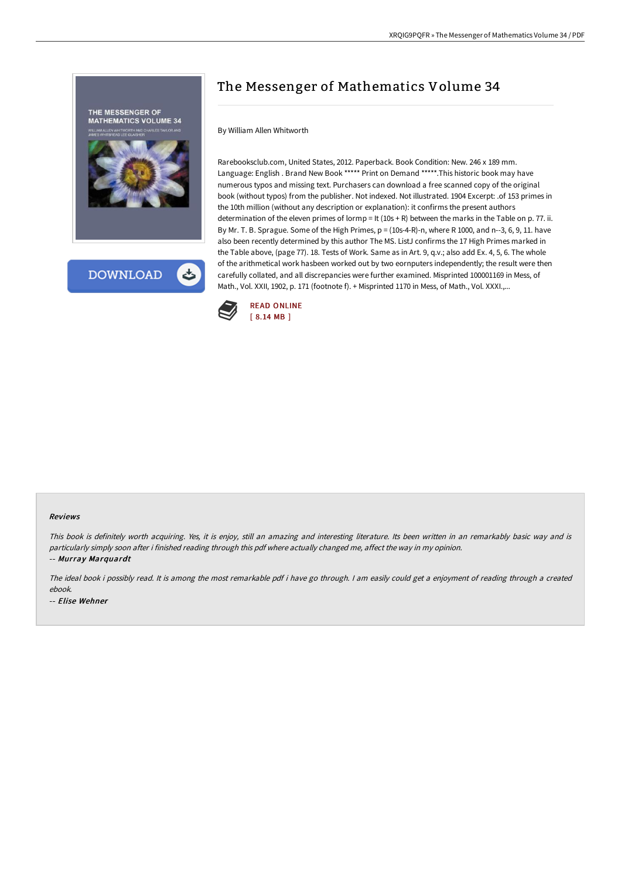

# The Messenger of Mathematics Volume 34

# By William Allen Whitworth

Rarebooksclub.com, United States, 2012. Paperback. Book Condition: New. 246 x 189 mm. Language: English . Brand New Book \*\*\*\*\* Print on Demand \*\*\*\*\*.This historic book may have numerous typos and missing text. Purchasers can download a free scanned copy of the original book (without typos) from the publisher. Not indexed. Not illustrated. 1904 Excerpt: .of 153 primes in the 10th million (without any description or explanation): it confirms the present authors determination of the eleven primes of lormp = It (10s + R) between the marks in the Table on p. 77. ii. By Mr. T. B. Sprague. Some of the High Primes, p = (10s-4-R)-n, where R 1000, and n--3, 6, 9, 11. have also been recently determined by this author The MS. ListJ confirms the 17 High Primes marked in the Table above, (page 77). 18. Tests of Work. Same as in Art. 9, q.v.; also add Ex. 4, 5, 6. The whole of the arithmetical work hasbeen worked out by two eornputers independently; the result were then carefully collated, and all discrepancies were further examined. Misprinted 100001169 in Mess, of Math., Vol. XXII, 1902, p. 171 (footnote f). + Misprinted 1170 in Mess, of Math., Vol. XXXI.,...



#### Reviews

This book is definitely worth acquiring. Yes, it is enjoy, still an amazing and interesting literature. Its been written in an remarkably basic way and is particularly simply soon after i finished reading through this pdf where actually changed me, affect the way in my opinion. -- Murray Marquardt

The ideal book i possibly read. It is among the most remarkable pdf i have go through. <sup>I</sup> am easily could get <sup>a</sup> enjoyment of reading through <sup>a</sup> created ebook.

-- Elise Wehner